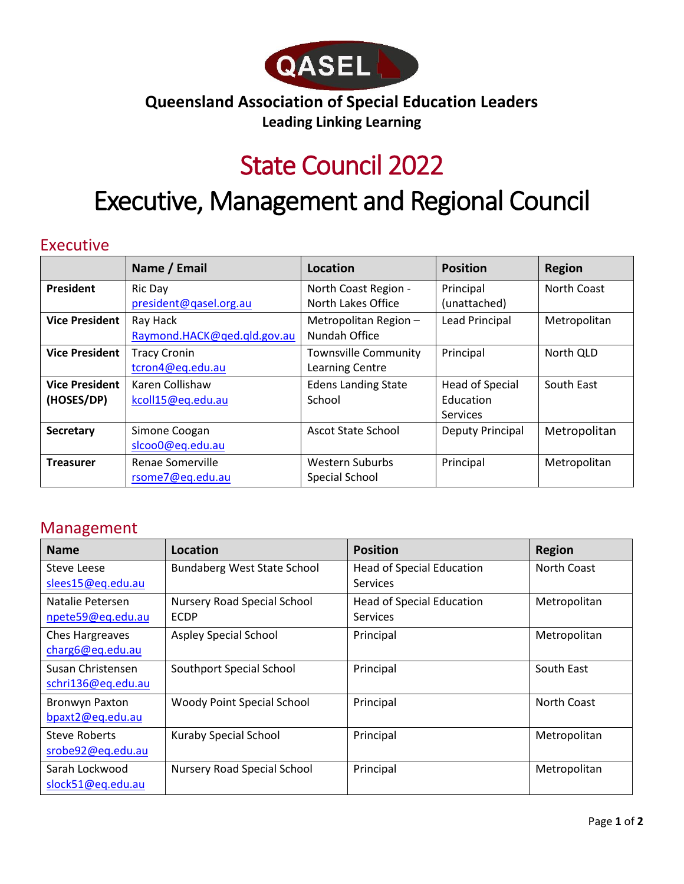

### **Queensland Association of Special Education Leaders Leading Linking Learning**

## State Council 2022

# Executive, Management and Regional Council

#### Executive

|                       | Name / Email                | Location                    | <b>Position</b>         | <b>Region</b> |
|-----------------------|-----------------------------|-----------------------------|-------------------------|---------------|
| <b>President</b>      | Ric Day                     | North Coast Region -        | Principal               | North Coast   |
|                       | president@qasel.org.au      | North Lakes Office          | (unattached)            |               |
| <b>Vice President</b> | Ray Hack                    | Metropolitan Region -       | <b>Lead Principal</b>   | Metropolitan  |
|                       | Raymond.HACK@ged.gld.gov.au | Nundah Office               |                         |               |
| <b>Vice President</b> | <b>Tracy Cronin</b>         | <b>Townsville Community</b> | Principal               | North QLD     |
|                       | tcron4@eq.edu.au            | Learning Centre             |                         |               |
| <b>Vice President</b> | Karen Collishaw             | <b>Edens Landing State</b>  | <b>Head of Special</b>  | South East    |
| (HOSES/DP)            | kcoll15@eq.edu.au           | School                      | Education               |               |
|                       |                             |                             | Services                |               |
| <b>Secretary</b>      | Simone Coogan               | <b>Ascot State School</b>   | <b>Deputy Principal</b> | Metropolitan  |
|                       | slcoo0@eq.edu.au            |                             |                         |               |
| <b>Treasurer</b>      | Renae Somerville            | <b>Western Suburbs</b>      | Principal               | Metropolitan  |
|                       | rsome7@eq.edu.au            | Special School              |                         |               |

#### Management

| <b>Name</b>            | Location                           | <b>Position</b>                  | <b>Region</b> |
|------------------------|------------------------------------|----------------------------------|---------------|
| Steve Leese            | <b>Bundaberg West State School</b> | <b>Head of Special Education</b> | North Coast   |
| slees15@eq.edu.au      |                                    | <b>Services</b>                  |               |
| Natalie Petersen       | <b>Nursery Road Special School</b> | <b>Head of Special Education</b> | Metropolitan  |
| npete59@eq.edu.au      | <b>ECDP</b>                        | <b>Services</b>                  |               |
| <b>Ches Hargreaves</b> | <b>Aspley Special School</b>       | Principal                        | Metropolitan  |
| charg6@eq.edu.au       |                                    |                                  |               |
| Susan Christensen      | Southport Special School           | Principal                        | South East    |
| schri136@eq.edu.au     |                                    |                                  |               |
| Bronwyn Paxton         | Woody Point Special School         | Principal                        | North Coast   |
| bpaxt2@eq.edu.au       |                                    |                                  |               |
| Steve Roberts          | Kuraby Special School              | Principal                        | Metropolitan  |
| srobe92@eq.edu.au      |                                    |                                  |               |
| Sarah Lockwood         | Nursery Road Special School        | Principal                        | Metropolitan  |
| slock51@eq.edu.au      |                                    |                                  |               |